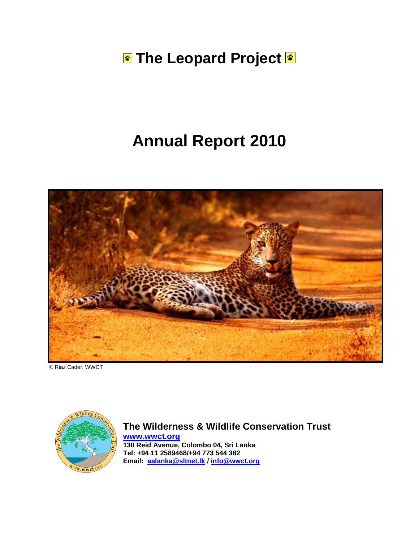**The Leopard Project &** 

# **Annual Report 2010**



© Riaz Cader, WWCT



**The Wilderness & Wildlife Conservation Trust [www.wwct.org](http://www.wwct.org/)**

**130 Reid Avenue, Colombo 04, Sri Lanka Tel: +94 11 2589468/+94 773 544 382 Email: [aalanka@sltnet.lk](mailto:aalanka@sltnet.lk) / [info@wwct.org](mailto:info@wwct.org)**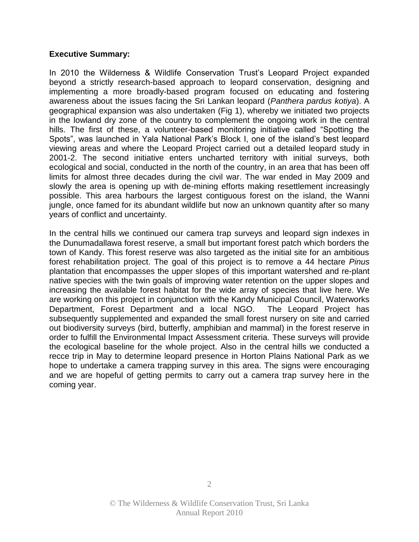#### **Executive Summary:**

In 2010 the Wilderness & Wildlife Conservation Trust's Leopard Project expanded beyond a strictly research-based approach to leopard conservation, designing and implementing a more broadly-based program focused on educating and fostering awareness about the issues facing the Sri Lankan leopard (*Panthera pardus kotiya*). A geographical expansion was also undertaken (Fig 1), whereby we initiated two projects in the lowland dry zone of the country to complement the ongoing work in the central hills. The first of these, a volunteer-based monitoring initiative called "Spotting the Spots", was launched in Yala National Park's Block I, one of the island's best leopard viewing areas and where the Leopard Project carried out a detailed leopard study in 2001-2. The second initiative enters uncharted territory with initial surveys, both ecological and social, conducted in the north of the country, in an area that has been off limits for almost three decades during the civil war. The war ended in May 2009 and slowly the area is opening up with de-mining efforts making resettlement increasingly possible. This area harbours the largest contiguous forest on the island, the Wanni jungle, once famed for its abundant wildlife but now an unknown quantity after so many years of conflict and uncertainty.

In the central hills we continued our camera trap surveys and leopard sign indexes in the Dunumadallawa forest reserve, a small but important forest patch which borders the town of Kandy. This forest reserve was also targeted as the initial site for an ambitious forest rehabilitation project. The goal of this project is to remove a 44 hectare *Pinus*  plantation that encompasses the upper slopes of this important watershed and re-plant native species with the twin goals of improving water retention on the upper slopes and increasing the available forest habitat for the wide array of species that live here. We are working on this project in conjunction with the Kandy Municipal Council, Waterworks Department, Forest Department and a local NGO. The Leopard Project has subsequently supplemented and expanded the small forest nursery on site and carried out biodiversity surveys (bird, butterfly, amphibian and mammal) in the forest reserve in order to fulfill the Environmental Impact Assessment criteria. These surveys will provide the ecological baseline for the whole project. Also in the central hills we conducted a recce trip in May to determine leopard presence in Horton Plains National Park as we hope to undertake a camera trapping survey in this area. The signs were encouraging and we are hopeful of getting permits to carry out a camera trap survey here in the coming year.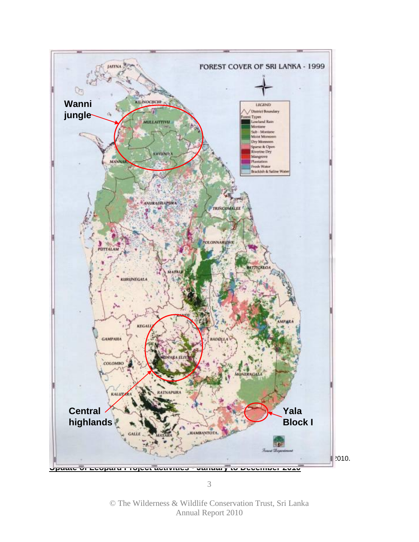

© The Wilderness & Wildlife Conservation Trust, Sri Lanka Annual Report 2010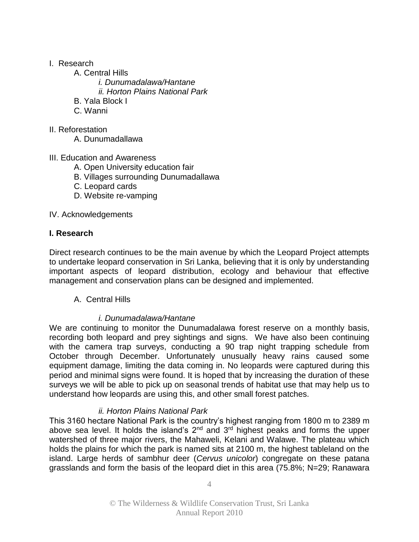#### I. Research

- A. Central Hills
	- *i. Dunumadalawa/Hantane*
	- *ii. Horton Plains National Park*
- B. Yala Block I
- C. Wanni
- II. Reforestation
	- A. Dunumadallawa
- III. Education and Awareness
	- A. Open University education fair
	- B. Villages surrounding Dunumadallawa
	- C. Leopard cards
	- D. Website re-vamping

IV. Acknowledgements

#### **I. Research**

Direct research continues to be the main avenue by which the Leopard Project attempts to undertake leopard conservation in Sri Lanka, believing that it is only by understanding important aspects of leopard distribution, ecology and behaviour that effective management and conservation plans can be designed and implemented.

A. Central Hills

## *i. Dunumadalawa/Hantane*

We are continuing to monitor the Dunumadalawa forest reserve on a monthly basis, recording both leopard and prey sightings and signs. We have also been continuing with the camera trap surveys, conducting a 90 trap night trapping schedule from October through December. Unfortunately unusually heavy rains caused some equipment damage, limiting the data coming in. No leopards were captured during this period and minimal signs were found. It is hoped that by increasing the duration of these surveys we will be able to pick up on seasonal trends of habitat use that may help us to understand how leopards are using this, and other small forest patches.

## *ii. Horton Plains National Park*

This 3160 hectare National Park is the country's highest ranging from 1800 m to 2389 m above sea level. It holds the island's  $2<sup>nd</sup>$  and  $3<sup>rd</sup>$  highest peaks and forms the upper watershed of three major rivers, the Mahaweli, Kelani and Walawe. The plateau which holds the plains for which the park is named sits at 2100 m, the highest tableland on the island. Large herds of sambhur deer (*Cervus unicolor*) congregate on these patana grasslands and form the basis of the leopard diet in this area (75.8%; N=29; Ranawara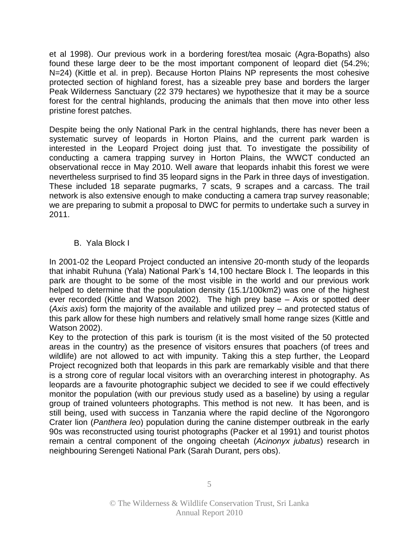et al 1998). Our previous work in a bordering forest/tea mosaic (Agra-Bopaths) also found these large deer to be the most important component of leopard diet (54.2%; N=24) (Kittle et al. in prep). Because Horton Plains NP represents the most cohesive protected section of highland forest, has a sizeable prey base and borders the larger Peak Wilderness Sanctuary (22 379 hectares) we hypothesize that it may be a source forest for the central highlands, producing the animals that then move into other less pristine forest patches.

Despite being the only National Park in the central highlands, there has never been a systematic survey of leopards in Horton Plains, and the current park warden is interested in the Leopard Project doing just that. To investigate the possibility of conducting a camera trapping survey in Horton Plains, the WWCT conducted an observational recce in May 2010. Well aware that leopards inhabit this forest we were nevertheless surprised to find 35 leopard signs in the Park in three days of investigation. These included 18 separate pugmarks, 7 scats, 9 scrapes and a carcass. The trail network is also extensive enough to make conducting a camera trap survey reasonable; we are preparing to submit a proposal to DWC for permits to undertake such a survey in 2011.

#### B. Yala Block I

In 2001-02 the Leopard Project conducted an intensive 20-month study of the leopards that inhabit Ruhuna (Yala) National Park's 14,100 hectare Block I. The leopards in this park are thought to be some of the most visible in the world and our previous work helped to determine that the population density (15.1/100km2) was one of the highest ever recorded (Kittle and Watson 2002). The high prey base – Axis or spotted deer (*Axis axis*) form the majority of the available and utilized prey – and protected status of this park allow for these high numbers and relatively small home range sizes (Kittle and Watson 2002).

Key to the protection of this park is tourism (it is the most visited of the 50 protected areas in the country) as the presence of visitors ensures that poachers (of trees and wildlife) are not allowed to act with impunity. Taking this a step further, the Leopard Project recognized both that leopards in this park are remarkably visible and that there is a strong core of regular local visitors with an overarching interest in photography. As leopards are a favourite photographic subject we decided to see if we could effectively monitor the population (with our previous study used as a baseline) by using a regular group of trained volunteers photographs. This method is not new. It has been, and is still being, used with success in Tanzania where the rapid decline of the Ngorongoro Crater lion (*Panthera leo*) population during the canine distemper outbreak in the early 90s was reconstructed using tourist photographs (Packer et al 1991) and tourist photos remain a central component of the ongoing cheetah (*Acinonyx jubatus*) research in neighbouring Serengeti National Park (Sarah Durant, pers obs).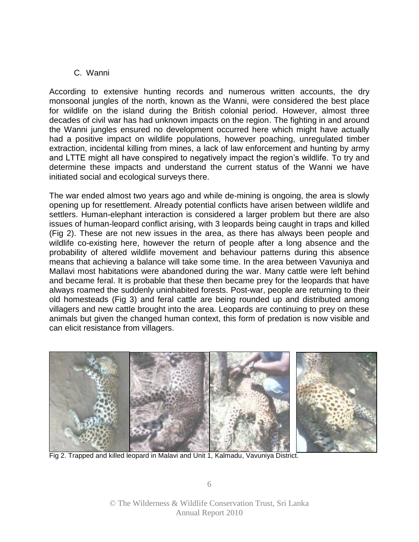#### C. Wanni

According to extensive hunting records and numerous written accounts, the dry monsoonal jungles of the north, known as the Wanni, were considered the best place for wildlife on the island during the British colonial period. However, almost three decades of civil war has had unknown impacts on the region. The fighting in and around the Wanni jungles ensured no development occurred here which might have actually had a positive impact on wildlife populations, however poaching, unregulated timber extraction, incidental killing from mines, a lack of law enforcement and hunting by army and LTTE might all have conspired to negatively impact the region's wildlife. To try and determine these impacts and understand the current status of the Wanni we have initiated social and ecological surveys there.

The war ended almost two years ago and while de-mining is ongoing, the area is slowly opening up for resettlement. Already potential conflicts have arisen between wildlife and settlers. Human-elephant interaction is considered a larger problem but there are also issues of human-leopard conflict arising, with 3 leopards being caught in traps and killed (Fig 2). These are not new issues in the area, as there has always been people and wildlife co-existing here, however the return of people after a long absence and the probability of altered wildlife movement and behaviour patterns during this absence means that achieving a balance will take some time. In the area between Vavuniya and Mallavi most habitations were abandoned during the war. Many cattle were left behind and became feral. It is probable that these then became prey for the leopards that have always roamed the suddenly uninhabited forests. Post-war, people are returning to their old homesteads (Fig 3) and feral cattle are being rounded up and distributed among villagers and new cattle brought into the area. Leopards are continuing to prey on these animals but given the changed human context, this form of predation is now visible and can elicit resistance from villagers.



Fig 2. Trapped and killed leopard in Malavi and Unit 1, Kalmadu, Vavuniya District.

6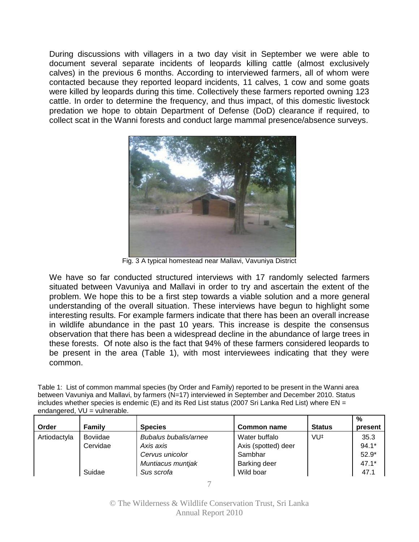During discussions with villagers in a two day visit in September we were able to document several separate incidents of leopards killing cattle (almost exclusively calves) in the previous 6 months. According to interviewed farmers, all of whom were contacted because they reported leopard incidents, 11 calves, 1 cow and some goats were killed by leopards during this time. Collectively these farmers reported owning 123 cattle. In order to determine the frequency, and thus impact, of this domestic livestock predation we hope to obtain Department of Defense (DoD) clearance if required, to collect scat in the Wanni forests and conduct large mammal presence/absence surveys.



Fig. 3 A typical homestead near Mallavi, Vavuniya District

We have so far conducted structured interviews with 17 randomly selected farmers situated between Vavuniya and Mallavi in order to try and ascertain the extent of the problem. We hope this to be a first step towards a viable solution and a more general understanding of the overall situation. These interviews have begun to highlight some interesting results. For example farmers indicate that there has been an overall increase in wildlife abundance in the past 10 years. This increase is despite the consensus observation that there has been a widespread decline in the abundance of large trees in these forests. Of note also is the fact that 94% of these farmers considered leopards to be present in the area (Table 1), with most interviewees indicating that they were common.

Table 1: List of common mammal species (by Order and Family) reported to be present in the Wanni area between Vavuniya and Mallavi, by farmers (N=17) interviewed in September and December 2010. Status includes whether species is endemic (E) and its Red List status (2007 Sri Lanka Red List) where EN = endangered, VU = vulnerable.

|              |                 |                              |                     |                 | $\%$    |
|--------------|-----------------|------------------------------|---------------------|-----------------|---------|
| Order        | Family          | <b>Species</b>               | Common name         | <b>Status</b>   | present |
| Artiodactyla | <b>Boviidae</b> | <b>Bubalus bubalis/arnee</b> | Water buffalo       | VU <sup>#</sup> | 35.3    |
|              | Cervidae        | Axis axis                    | Axis (spotted) deer |                 | $94.1*$ |
|              |                 | Cervus unicolor              | Sambhar             |                 | $52.9*$ |
|              |                 | Muntiacus muntjak            | <b>Barking deer</b> |                 | $47.1*$ |
|              | Suidae          | Sus scrofa                   | Wild boar           |                 | 47.1    |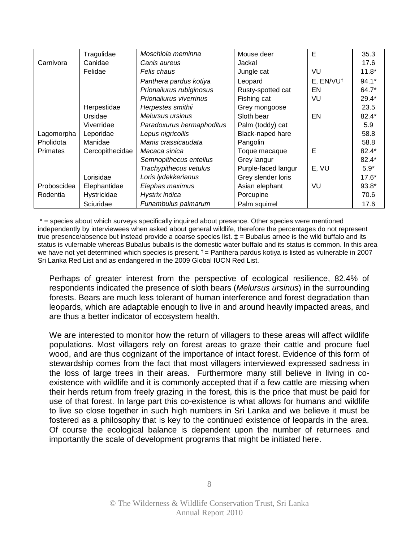|                 | Tragulidae      | Moschiola meminna         | Mouse deer          | Е                     | 35.3    |
|-----------------|-----------------|---------------------------|---------------------|-----------------------|---------|
| Carnivora       | Canidae         | Canis aureus              | Jackal              |                       | 17.6    |
|                 | Felidae         | Felis chaus               | Jungle cat          | VU                    | $11.8*$ |
|                 |                 | Panthera pardus kotiya    | Leopard             | E, EN/VU <sup>t</sup> | $94.1*$ |
|                 |                 | Prionailurus rubiginosus  | Rusty-spotted cat   | EN                    | 64.7*   |
|                 |                 | Prionailurus viverrinus   | Fishing cat         | VU                    | $29.4*$ |
|                 | Herpestidae     | Herpestes smithii         | Grey mongoose       |                       | 23.5    |
|                 | Ursidae         | Melursus ursinus          | Sloth bear          | EN                    | 82.4*   |
|                 | Viverridae      | Paradoxurus hermaphoditus | Palm (toddy) cat    |                       | 5.9     |
| Lagomorpha      | Leporidae       | Lepus nigricollis         | Black-naped hare    |                       | 58.8    |
| Pholidota       | Manidae         | Manis crassicaudata       | Pangolin            |                       | 58.8    |
| <b>Primates</b> | Cercopithecidae | Macaca sinica             | Toque macaque       | Е                     | $82.4*$ |
|                 |                 | Semnopithecus entellus    | Grey langur         |                       | $82.4*$ |
|                 |                 | Trachypithecus vetulus    | Purple-faced langur | E, VU                 | $5.9*$  |
|                 | Lorisidae       | Loris lydekkerianus       | Grey slender loris  |                       | $17.6*$ |
| Proboscidea     | Elephantidae    | Elephas maximus           | Asian elephant      | VU                    | $93.8*$ |
| Rodentia        | Hystricidae     | Hystrix indica            | Porcupine           |                       | 70.6    |
|                 | Sciuridae       | Funambulus palmarum       | Palm squirrel       |                       | 17.6    |

\* = species about which surveys specifically inquired about presence. Other species were mentioned independently by interviewees when asked about general wildlife, therefore the percentages do not represent true presence/absence but instead provide a coarse species list.  $\pm$  = Bubalus arnee is the wild buffalo and its status is vulernable whereas Bubalus bubalis is the domestic water buffalo and its status is common. In this area we have not yet determined which species is present.  $t =$  Panthera pardus kotiya is listed as vulnerable in 2007 Sri Lanka Red List and as endangered in the 2009 Global IUCN Red List.

Perhaps of greater interest from the perspective of ecological resilience, 82.4% of respondents indicated the presence of sloth bears (*Melursus ursinus*) in the surrounding forests. Bears are much less tolerant of human interference and forest degradation than leopards, which are adaptable enough to live in and around heavily impacted areas, and are thus a better indicator of ecosystem health.

We are interested to monitor how the return of villagers to these areas will affect wildlife populations. Most villagers rely on forest areas to graze their cattle and procure fuel wood, and are thus cognizant of the importance of intact forest. Evidence of this form of stewardship comes from the fact that most villagers interviewed expressed sadness in the loss of large trees in their areas. Furthermore many still believe in living in coexistence with wildlife and it is commonly accepted that if a few cattle are missing when their herds return from freely grazing in the forest, this is the price that must be paid for use of that forest. In large part this co-existence is what allows for humans and wildlife to live so close together in such high numbers in Sri Lanka and we believe it must be fostered as a philosophy that is key to the continued existence of leopards in the area. Of course the ecological balance is dependent upon the number of returnees and importantly the scale of development programs that might be initiated here.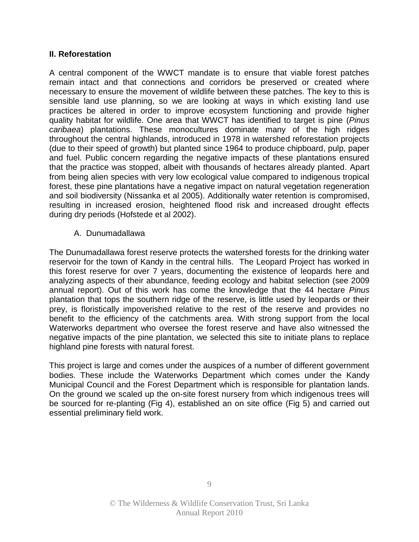#### **II. Reforestation**

A central component of the WWCT mandate is to ensure that viable forest patches remain intact and that connections and corridors be preserved or created where necessary to ensure the movement of wildlife between these patches. The key to this is sensible land use planning, so we are looking at ways in which existing land use practices be altered in order to improve ecosystem functioning and provide higher quality habitat for wildlife. One area that WWCT has identified to target is pine (*Pinus caribaea*) plantations. These monocultures dominate many of the high ridges throughout the central highlands, introduced in 1978 in watershed reforestation projects (due to their speed of growth) but planted since 1964 to produce chipboard, pulp, paper and fuel. Public concern regarding the negative impacts of these plantations ensured that the practice was stopped, albeit with thousands of hectares already planted. Apart from being alien species with very low ecological value compared to indigenous tropical forest, these pine plantations have a negative impact on natural vegetation regeneration and soil biodiversity (Nissanka et al 2005). Additionally water retention is compromised, resulting in increased erosion, heightened flood risk and increased drought effects during dry periods (Hofstede et al 2002).

#### A. Dunumadallawa

The Dunumadallawa forest reserve protects the watershed forests for the drinking water reservoir for the town of Kandy in the central hills. The Leopard Project has worked in this forest reserve for over 7 years, documenting the existence of leopards here and analyzing aspects of their abundance, feeding ecology and habitat selection (see 2009 annual report). Out of this work has come the knowledge that the 44 hectare *Pinus* plantation that tops the southern ridge of the reserve, is little used by leopards or their prey, is floristically impoverished relative to the rest of the reserve and provides no benefit to the efficiency of the catchments area. With strong support from the local Waterworks department who oversee the forest reserve and have also witnessed the negative impacts of the pine plantation, we selected this site to initiate plans to replace highland pine forests with natural forest.

This project is large and comes under the auspices of a number of different government bodies. These include the Waterworks Department which comes under the Kandy Municipal Council and the Forest Department which is responsible for plantation lands. On the ground we scaled up the on-site forest nursery from which indigenous trees will be sourced for re-planting (Fig 4), established an on site office (Fig 5) and carried out essential preliminary field work.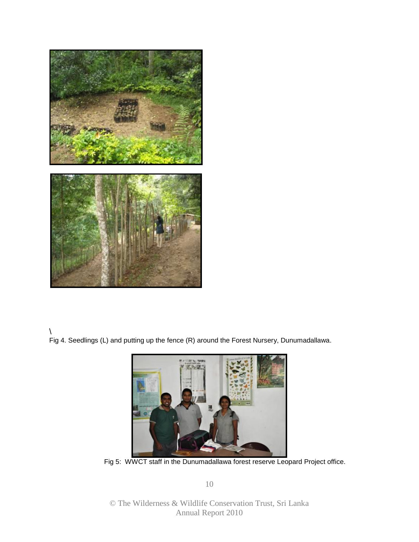

#### \ Fig 4. Seedlings (L) and putting up the fence (R) around the Forest Nursery, Dunumadallawa.



Fig 5: WWCT staff in the Dunumadallawa forest reserve Leopard Project office.

10

© The Wilderness & Wildlife Conservation Trust, Sri Lanka Annual Report 2010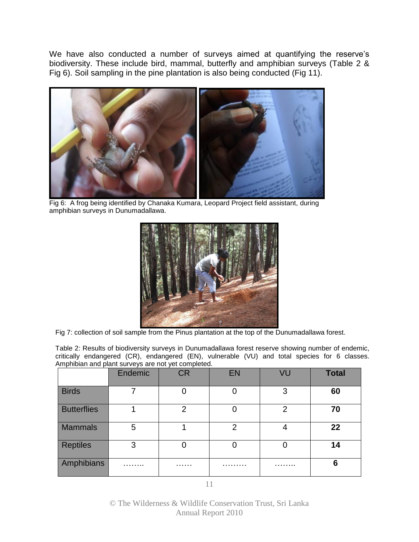We have also conducted a number of surveys aimed at quantifying the reserve's biodiversity. These include bird, mammal, butterfly and amphibian surveys (Table 2 & Fig 6). Soil sampling in the pine plantation is also being conducted (Fig 11).



Fig 6: A frog being identified by Chanaka Kumara, Leopard Project field assistant, during amphibian surveys in Dunumadallawa.



Fig 7: collection of soil sample from the Pinus plantation at the top of the Dunumadallawa forest.

Table 2: Results of biodiversity surveys in Dunumadallawa forest reserve showing number of endemic, critically endangered (CR), endangered (EN), vulnerable (VU) and total species for 6 classes. Amphibian and plant surveys are not yet completed.

|                    | Endemic | <b>CR</b>      | <b>EN</b> | VU | <b>Total</b> |
|--------------------|---------|----------------|-----------|----|--------------|
| <b>Birds</b>       |         |                | ∩         | 3  | 60           |
| <b>Butterflies</b> |         | $\overline{2}$ | ∩         | 2  | 70           |
| <b>Mammals</b>     | 5       |                | 2         | 4  | 22           |
| <b>Reptiles</b>    | 3       |                | 0         |    | 14           |
| Amphibians         | .       | .              | .         | .  | 6            |

© The Wilderness & Wildlife Conservation Trust, Sri Lanka Annual Report 2010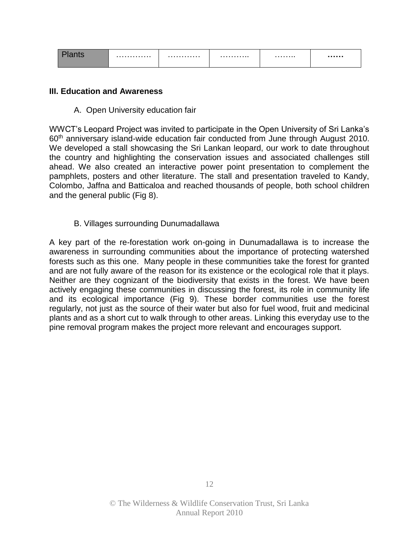| . | . | . | . |  |
|---|---|---|---|--|
|   |   |   |   |  |

#### **III. Education and Awareness**

A. Open University education fair

WWCT's Leopard Project was invited to participate in the Open University of Sri Lanka's 60th anniversary island-wide education fair conducted from June through August 2010. We developed a stall showcasing the Sri Lankan leopard, our work to date throughout the country and highlighting the conservation issues and associated challenges still ahead. We also created an interactive power point presentation to complement the pamphlets, posters and other literature. The stall and presentation traveled to Kandy, Colombo, Jaffna and Batticaloa and reached thousands of people, both school children and the general public (Fig 8).

B. Villages surrounding Dunumadallawa

A key part of the re-forestation work on-going in Dunumadallawa is to increase the awareness in surrounding communities about the importance of protecting watershed forests such as this one. Many people in these communities take the forest for granted and are not fully aware of the reason for its existence or the ecological role that it plays. Neither are they cognizant of the biodiversity that exists in the forest. We have been actively engaging these communities in discussing the forest, its role in community life and its ecological importance (Fig 9). These border communities use the forest regularly, not just as the source of their water but also for fuel wood, fruit and medicinal plants and as a short cut to walk through to other areas. Linking this everyday use to the pine removal program makes the project more relevant and encourages support.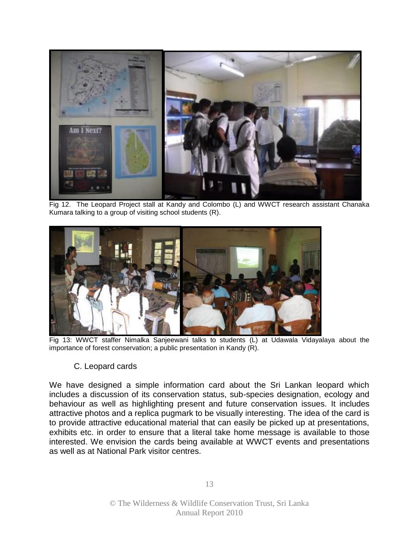

Fig 12. The Leopard Project stall at Kandy and Colombo (L) and WWCT research assistant Chanaka Kumara talking to a group of visiting school students (R).



Fig 13: WWCT staffer Nimalka Sanjeewani talks to students (L) at Udawala Vidayalaya about the importance of forest conservation; a public presentation in Kandy (R).

#### C. Leopard cards

We have designed a simple information card about the Sri Lankan leopard which includes a discussion of its conservation status, sub-species designation, ecology and behaviour as well as highlighting present and future conservation issues. It includes attractive photos and a replica pugmark to be visually interesting. The idea of the card is to provide attractive educational material that can easily be picked up at presentations, exhibits etc. in order to ensure that a literal take home message is available to those interested. We envision the cards being available at WWCT events and presentations as well as at National Park visitor centres.